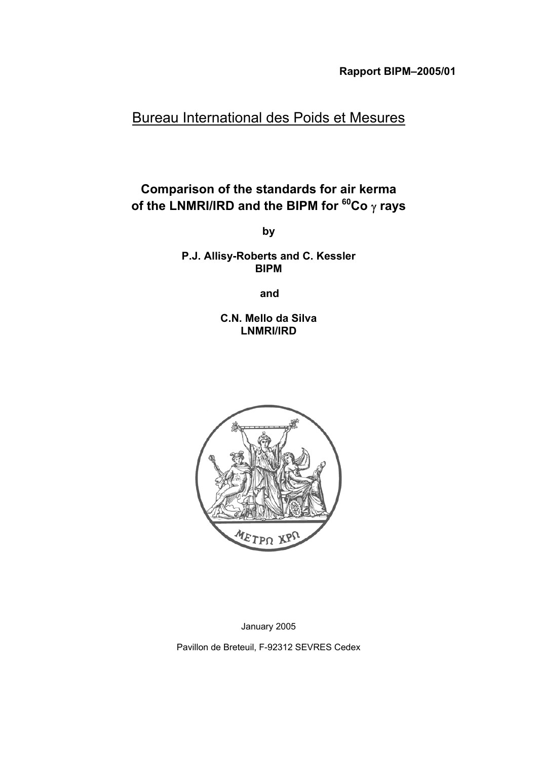# Bureau International des Poids et Mesures

# **Comparison of the standards for air kerma of the LNMRI/IRD and the BIPM for 60Co** γ **rays**

**by**

**P.J. Allisy-Roberts and C. Kessler BIPM**

**and**

**C.N. Mello da Silva LNMRI/IRD**



January 2005

Pavillon de Breteuil, F-92312 SEVRES Cedex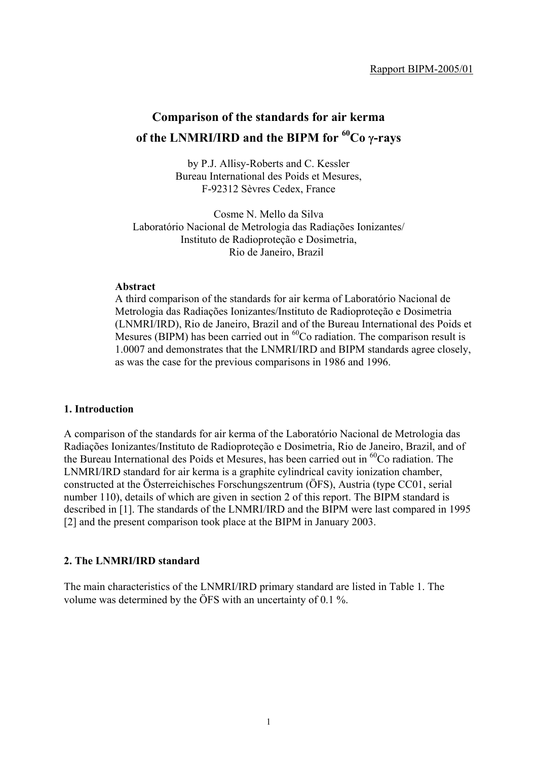# **Comparison of the standards for air kerma of the LNMRI/IRD and the BIPM for 60Co** γ**-rays**

by P.J. Allisy-Roberts and C. Kessler Bureau International des Poids et Mesures, F-92312 Sèvres Cedex, France

Cosme N. Mello da Silva Laboratório Nacional de Metrologia das Radiações Ionizantes/ Instituto de Radioproteção e Dosimetria, Rio de Janeiro, Brazil

#### **Abstract**

A third comparison of the standards for air kerma of Laboratório Nacional de Metrologia das Radiações Ionizantes/Instituto de Radioproteção e Dosimetria (LNMRI/IRD), Rio de Janeiro, Brazil and of the Bureau International des Poids et Mesures (BIPM) has been carried out in  ${}^{60}$ Co radiation. The comparison result is 1.0007 and demonstrates that the LNMRI/IRD and BIPM standards agree closely, as was the case for the previous comparisons in 1986 and 1996.

### **1. Introduction**

A comparison of the standards for air kerma of the Laboratório Nacional de Metrologia das Radiações Ionizantes/Instituto de Radioproteção e Dosimetria, Rio de Janeiro, Brazil, and of the Bureau International des Poids et Mesures, has been carried out in  ${}^{60}Co$  radiation. The LNMRI/IRD standard for air kerma is a graphite cylindrical cavity ionization chamber, constructed at the Österreichisches Forschungszentrum (ÖFS), Austria (type CC01, serial number 110), details of which are given in section 2 of this report. The BIPM standard is described in [1]. The standards of the LNMRI/IRD and the BIPM were last compared in 1995 [2] and the present comparison took place at the BIPM in January 2003.

#### **2. The LNMRI/IRD standard**

The main characteristics of the LNMRI/IRD primary standard are listed in Table 1. The volume was determined by the ÖFS with an uncertainty of 0.1 %.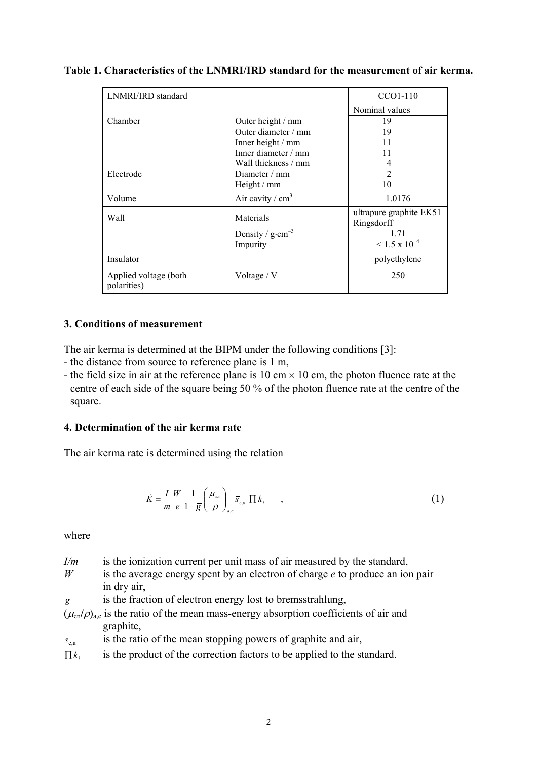| LNMRI/IRD standard                   |                             | CCO1-110                              |
|--------------------------------------|-----------------------------|---------------------------------------|
|                                      |                             | Nominal values                        |
| Chamber                              | Outer height / mm           | 19                                    |
|                                      | Outer diameter / mm         | 19                                    |
|                                      | Inner height / mm           | 11                                    |
|                                      | Inner diameter / mm         | 11                                    |
|                                      | Wall thickness / mm         | 4                                     |
| Electrode                            | Diameter $/mm$              | $\overline{2}$                        |
|                                      | Height / mm                 | 10                                    |
| Volume                               | Air cavity / $cm3$          | 1.0176                                |
| Wall                                 | Materials                   | ultrapure graphite EK51<br>Ringsdorff |
|                                      | Density / $g \cdot cm^{-3}$ | 1.71                                  |
|                                      | Impurity                    | $\leq$ 1.5 x 10 <sup>-4</sup>         |
| Insulator                            |                             | polyethylene                          |
| Applied voltage (both<br>polarities) | Voltage / V                 | 250                                   |

### **Table 1. Characteristics of the LNMRI/IRD standard for the measurement of air kerma.**

### **3. Conditions of measurement**

The air kerma is determined at the BIPM under the following conditions [3]:

- the distance from source to reference plane is 1 m,
- the field size in air at the reference plane is 10 cm  $\times$  10 cm, the photon fluence rate at the centre of each side of the square being 50 % of the photon fluence rate at the centre of the square.

### **4. Determination of the air kerma rate**

The air kerma rate is determined using the relation

$$
\dot{K} = \frac{I}{m} \frac{W}{e} \frac{1}{1 - \overline{g}} \left( \frac{\mu_{\scriptscriptstyle en}}{\rho} \right)_{a,c} \overline{s}_{\scriptscriptstyle c,a} \prod k_{\scriptscriptstyle i} \tag{1}
$$

where

- *I/m* is the ionization current per unit mass of air measured by the standard,
- *W* is the average energy spent by an electron of charge *e* to produce an ion pair in dry air,
- $\overline{g}$  is the fraction of electron energy lost to bremsstrahlung,
- $(\mu_{en}/\rho)_{a,c}$  is the ratio of the mean mass-energy absorption coefficients of air and graphite,
- $\bar{s}_{\text{ca}}$  is the ratio of the mean stopping powers of graphite and air,
- $\prod k_i$  is the product of the correction factors to be applied to the standard.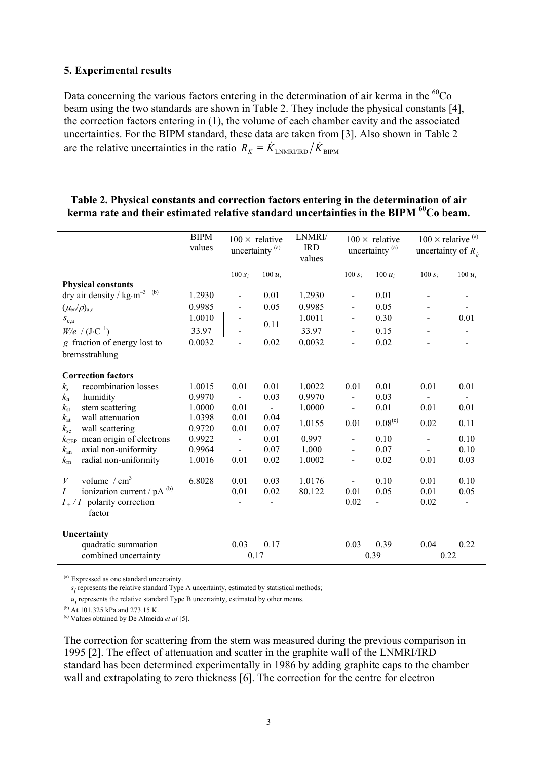#### **5. Experimental results**

Data concerning the various factors entering in the determination of air kerma in the  ${}^{60}Co$ beam using the two standards are shown in Table 2. They include the physical constants [4], the correction factors entering in (1), the volume of each chamber cavity and the associated uncertainties. For the BIPM standard, these data are taken from [3]. Also shown in Table 2 are the relative uncertainties in the ratio  $R_K = \dot{K}_{LNMRURD}/\dot{K}_{BIPM}$ 

## **Table 2. Physical constants and correction factors entering in the determination of air kerma rate and their estimated relative standard uncertainties in the BIPM 60Co beam.**

|                                                 |                                                     | <b>BIPM</b><br>values | $100 \times$ relative<br>uncertainty <sup>(a)</sup> |                | LNMRI/<br><b>IRD</b><br>values | $100 \times$ relative<br>uncertainty <sup>(a)</sup> |                          | $100 \times$ relative <sup>(a)</sup><br>uncertainty of $R_{i}$ |                              |
|-------------------------------------------------|-----------------------------------------------------|-----------------------|-----------------------------------------------------|----------------|--------------------------------|-----------------------------------------------------|--------------------------|----------------------------------------------------------------|------------------------------|
|                                                 |                                                     |                       | $100 S_i$                                           | 100 $u_i$      |                                | $100 S_i$                                           | $100 u_i$                | $100 S_i$                                                      | 100 $u_i$                    |
|                                                 | <b>Physical constants</b>                           |                       |                                                     |                |                                |                                                     |                          |                                                                |                              |
|                                                 | dry air density / $\text{kg}\cdot\text{m}^{-3}$ (b) | 1.2930                | $\blacksquare$                                      | 0.01           | 1.2930                         | $\qquad \qquad \blacksquare$                        | 0.01                     |                                                                |                              |
|                                                 |                                                     | 0.9985                |                                                     | 0.05           | 0.9985                         |                                                     | 0.05                     |                                                                |                              |
| $(\mu_{en}/\rho)_{a,c}$<br>$\overline{s}_{c,a}$ |                                                     | 1.0010                |                                                     |                | 1.0011                         |                                                     | 0.30                     |                                                                | 0.01                         |
|                                                 | $W/e$ / $(J \cdot C^{-1})$                          | 33.97                 |                                                     | 0.11           | 33.97                          | $\overline{\phantom{a}}$                            | 0.15                     |                                                                | $\qquad \qquad \blacksquare$ |
|                                                 | $\overline{g}$ fraction of energy lost to           | 0.0032                |                                                     | 0.02           | 0.0032                         |                                                     | 0.02                     |                                                                |                              |
|                                                 | bremsstrahlung                                      |                       |                                                     |                |                                |                                                     |                          |                                                                |                              |
|                                                 | <b>Correction factors</b>                           |                       |                                                     |                |                                |                                                     |                          |                                                                |                              |
| $k_{\rm s}$                                     | recombination losses                                | 1.0015                | 0.01                                                | 0.01           | 1.0022                         | 0.01                                                | 0.01                     | 0.01                                                           | 0.01                         |
| $k_{\rm h}$                                     | humidity                                            | 0.9970                |                                                     | 0.03           | 0.9970                         |                                                     | 0.03                     |                                                                |                              |
| $k_{\rm st}$                                    | stem scattering                                     | 1.0000                | 0.01                                                | $\blacksquare$ | 1.0000                         | $\qquad \qquad \blacksquare$                        | 0.01                     | 0.01                                                           | 0.01                         |
| $k_{\rm at}$                                    | wall attenuation                                    | 1.0398                | 0.01                                                | 0.04           | 1.0155                         | 0.01                                                | $0.08^{(c)}$             | 0.02                                                           | 0.11                         |
| $k_{\rm sc}$                                    | wall scattering                                     | 0.9720                | 0.01                                                | 0.07           |                                |                                                     |                          |                                                                |                              |
| $k_{\rm CEP}$                                   | mean origin of electrons                            | 0.9922                | $\overline{a}$                                      | 0.01           | 0.997                          | $\overline{\phantom{a}}$                            | 0.10                     | $\overline{a}$                                                 | 0.10                         |
| $k_{\rm an}$                                    | axial non-uniformity                                | 0.9964                | $\qquad \qquad \blacksquare$                        | 0.07           | 1.000                          | $\overline{a}$                                      | 0.07                     |                                                                | 0.10                         |
| $k_{\rm m}$                                     | radial non-uniformity                               | 1.0016                | 0.01                                                | 0.02           | 1.0002                         | $\qquad \qquad \blacksquare$                        | 0.02                     | 0.01                                                           | 0.03                         |
| V                                               | volume $/cm3$                                       | 6.8028                | 0.01                                                | 0.03           | 1.0176                         |                                                     | 0.10                     | 0.01                                                           | 0.10                         |
| $\overline{I}$                                  | ionization current / pA (b)                         |                       | 0.01                                                | 0.02           | 80.122                         | 0.01                                                | 0.05                     | 0.01                                                           | 0.05                         |
|                                                 | $I_{+}/I_{-}$ polarity correction<br>factor         |                       |                                                     |                |                                | 0.02                                                | $\overline{\phantom{0}}$ | 0.02                                                           |                              |
|                                                 | Uncertainty                                         |                       |                                                     |                |                                |                                                     |                          |                                                                |                              |
|                                                 | quadratic summation                                 |                       | 0.03                                                | 0.17           |                                | 0.03                                                | 0.39                     | 0.04                                                           | 0.22                         |
|                                                 | combined uncertainty                                |                       | 0.17                                                |                |                                |                                                     | 0.39                     | 0.22                                                           |                              |

(a) Expressed as one standard uncertainty.

 $s_i$  represents the relative standard Type A uncertainty, estimated by statistical methods;

 $u_i$  represents the relative standard Type B uncertainty, estimated by other means.

(b) At 101.325 kPa and 273.15 K.

(c) Values obtained by De Almeida *et al* [5].

The correction for scattering from the stem was measured during the previous comparison in 1995 [2]. The effect of attenuation and scatter in the graphite wall of the LNMRI/IRD standard has been determined experimentally in 1986 by adding graphite caps to the chamber wall and extrapolating to zero thickness [6]. The correction for the centre for electron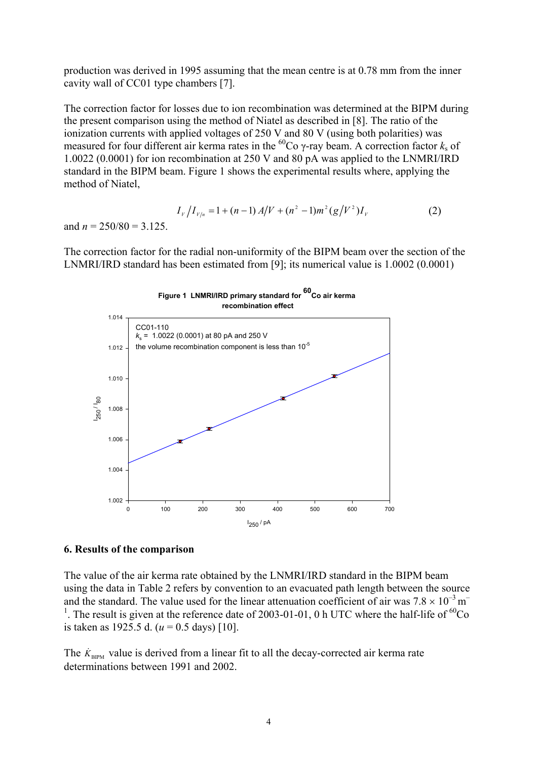production was derived in 1995 assuming that the mean centre is at 0.78 mm from the inner cavity wall of CC01 type chambers [7].

The correction factor for losses due to ion recombination was determined at the BIPM during the present comparison using the method of Niatel as described in [8]. The ratio of the ionization currents with applied voltages of 250 V and 80 V (using both polarities) was measured for four different air kerma rates in the <sup>60</sup>Co  $\gamma$ -ray beam. A correction factor  $k_s$  of 1.0022 (0.0001) for ion recombination at 250 V and 80 pA was applied to the LNMRI/IRD standard in the BIPM beam. Figure 1 shows the experimental results where, applying the method of Niatel,

$$
I_{V}/I_{V/n} = 1 + (n-1) A/V + (n^{2} - 1)m^{2} (g/V^{2}) I_{V}
$$
 (2)

and  $n = 250/80 = 3.125$ .

The correction factor for the radial non-uniformity of the BIPM beam over the section of the LNMRI/IRD standard has been estimated from [9]; its numerical value is 1.0002 (0.0001)



#### **6. Results of the comparison**

The value of the air kerma rate obtained by the LNMRI/IRD standard in the BIPM beam using the data in Table 2 refers by convention to an evacuated path length between the source and the standard. The value used for the linear attenuation coefficient of air was  $7.8 \times 10^{-3}$  m<sup>-1</sup> <sup>1</sup>. The result is given at the reference date of 2003-01-01, 0 h UTC where the half-life of  ${}^{60}Co$ is taken as 1925.5 d. (*u* = 0.5 days) [10].

The  $\dot{K}_{\text{BIPM}}$  value is derived from a linear fit to all the decay-corrected air kerma rate determinations between 1991 and 2002.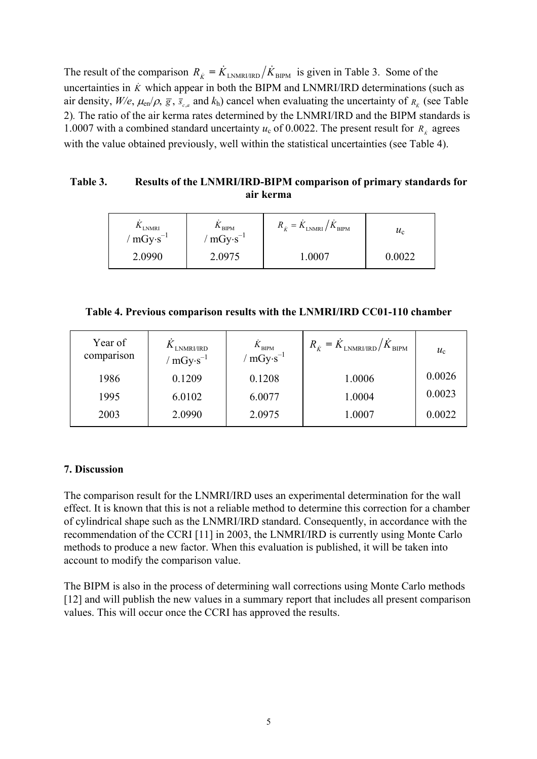The result of the comparison  $R_{\hat{K}} = \dot{K}_{\text{LNNRI/IRD}} / \dot{K}_{\text{BIPM}}$  is given in Table 3. Some of the uncertainties in  $\ddot{K}$  which appear in both the BIPM and LNMRI/IRD determinations (such as air density,  $W/e$ ,  $\mu_{en}/\rho$ ,  $\bar{g}$ ,  $\bar{s}_{c,a}$  and  $k_h$ ) cancel when evaluating the uncertainty of  $R_k$  (see Table 2)*.* The ratio of the air kerma rates determined by the LNMRI/IRD and the BIPM standards is 1.0007 with a combined standard uncertainty  $u_c$  of 0.0022. The present result for  $R_k$  agrees with the value obtained previously, well within the statistical uncertainties (see Table 4).

## **Table 3. Results of the LNMRI/IRD-BIPM comparison of primary standards for air kerma**

| "LNMRI<br>/ $mGy·s^{-1}$ | $\mathbf{H}$ BIPM<br>$mGy \cdot s^{-1}$ | $R_{\dot{K}} = K_{\text{LNMRI}} / K_{\text{BIPM}}$ | $u_{\rm c}$ |
|--------------------------|-----------------------------------------|----------------------------------------------------|-------------|
| 2.0990                   | 2.0975                                  | -0007                                              |             |

|  |  | Table 4. Previous comparison results with the LNMRI/IRD CC01-110 chamber |  |
|--|--|--------------------------------------------------------------------------|--|
|  |  |                                                                          |  |

| Year of<br>comparison | $\Lambda$ LNMRI/IRD<br>/ mGy·s <sup>-1</sup> | $\frac{\dot{K}_\mathrm{BIPM}}{\text{mGy·s}^{-1}}$ | $R_{\dot{K}} = K_{\text{LNMRI/IRD}} / K_{\text{BIPM}}$ | $u_{c}$ |
|-----------------------|----------------------------------------------|---------------------------------------------------|--------------------------------------------------------|---------|
| 1986                  | 0.1209                                       | 0.1208                                            | 1.0006                                                 | 0.0026  |
| 1995                  | 6.0102                                       | 6.0077                                            | 1.0004                                                 | 0.0023  |
| 2003                  | 2.0990                                       | 2.0975                                            | 1.0007                                                 | 0.0022  |

# **7. Discussion**

The comparison result for the LNMRI/IRD uses an experimental determination for the wall effect. It is known that this is not a reliable method to determine this correction for a chamber of cylindrical shape such as the LNMRI/IRD standard. Consequently, in accordance with the recommendation of the CCRI [11] in 2003, the LNMRI/IRD is currently using Monte Carlo methods to produce a new factor. When this evaluation is published, it will be taken into account to modify the comparison value.

The BIPM is also in the process of determining wall corrections using Monte Carlo methods [12] and will publish the new values in a summary report that includes all present comparison values. This will occur once the CCRI has approved the results.